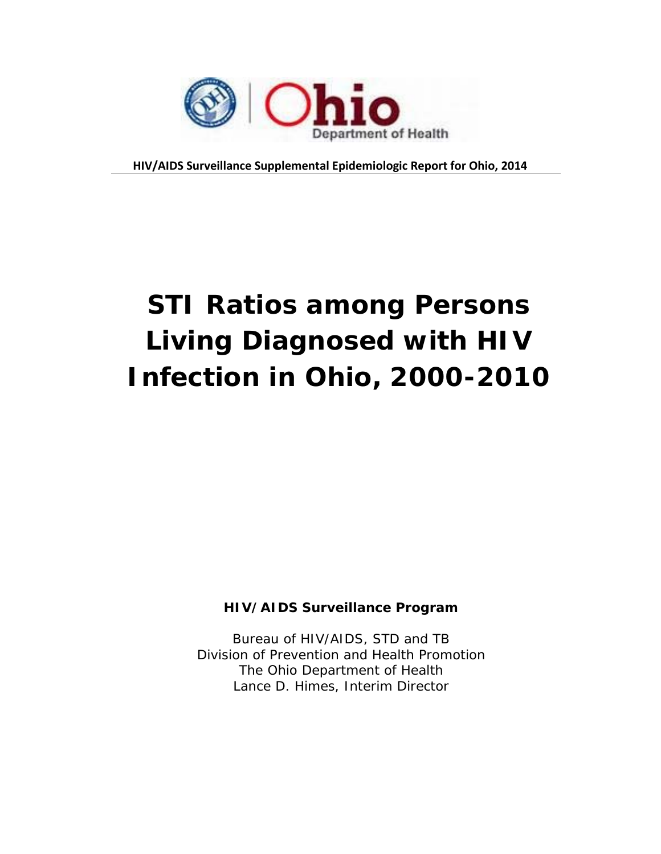

**HIV/AIDS Surveillance Supplemental Epidemiologic Report for Ohio, 2014**

# **STI Ratios among Persons Living Diagnosed with HIV Infection in Ohio, 2000-2010**

## **HIV/AIDS Surveillance Program**

Bureau of HIV/AIDS, STD and TB Division of Prevention and Health Promotion The Ohio Department of Health Lance D. Himes, Interim Director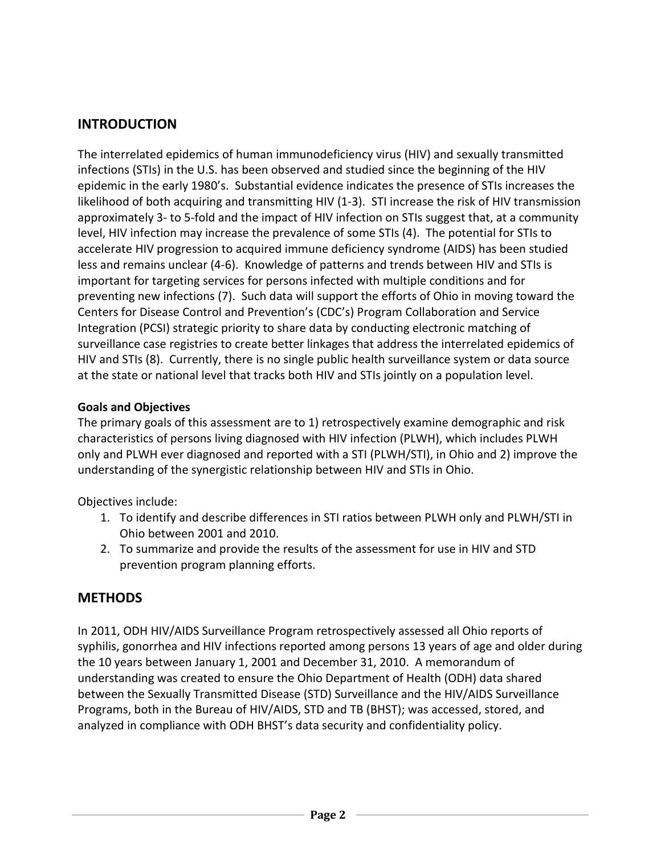# **INTRODUCTION**

The interrelated epidemics of human immunodeficiency virus (HIV) and sexually transmitted infections (STIs) in the U.S. has been observed and studied since the beginning of the HIV epidemic in the early 1980's. Substantial evidence indicates the presence of STIs increases the likelihood of both acquiring and transmitting HIV (1-3). STI increase the risk of HIV transmission approximately 3- to 5-fold and the impact of HIV infection on STIs suggest that, at a community level, HIV infection may increase the prevalence of some STIs (4). The potential for STIs to accelerate HIV progression to acquired immune deficiency syndrome (AIDS) has been studied less and remains unclear (4-6). Knowledge of patterns and trends between HIV and STIs is important for targeting services for persons infected with multiple conditions and for preventing new infections (7). Such data will support the efforts of Ohio in moving toward the Centers for Disease Control and Prevention's (CDC's) Program Collaboration and Service Integration (PCSI) strategic priority to share data by conducting electronic matching of surveillance case registries to create better linkages that address the interrelated epidemics of HIV and STIs (8). Currently, there is no single public health surveillance system or data source at the state or national level that tracks both HIV and STIs jointly on a population level.

## **Goals and Objectives**

The primary goals of this assessment are to 1) retrospectively examine demographic and risk characteristics of persons living diagnosed with HIV infection (PLWH), which includes PLWH only and PLWH ever diagnosed and reported with a STI (PLWH/STI), in Ohio and 2) improve the understanding of the synergistic relationship between HIV and STIs in Ohio.

Objectives include:

- 1. To identify and describe differences in STI ratios between PLWH only and PLWH/STI in Ohio between 2001 and 2010.
- 2. To summarize and provide the results of the assessment for use in HIV and STD prevention program planning efforts.

## **METHODS**

In 2011, ODH HIV/AIDS Surveillance Program retrospectively assessed all Ohio reports of syphilis, gonorrhea and HIV infections reported among persons 13 years of age and older during the 10 years between January 1, 2001 and December 31, 2010. A memorandum of understanding was created to ensure the Ohio Department of Health (ODH) data shared between the Sexually Transmitted Disease (STD) Surveillance and the HIV/AIDS Surveillance Programs, both in the Bureau of HIV/AIDS, STD and TB (BHST); was accessed, stored, and analyzed in compliance with ODH BHST's data security and confidentiality policy.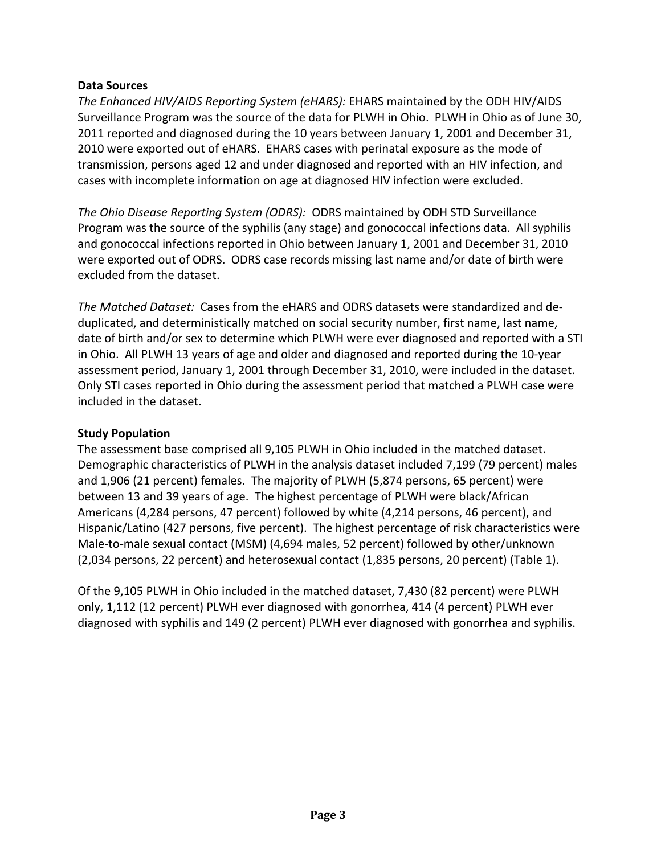#### **Data Sources**

*The Enhanced HIV/AIDS Reporting System (eHARS):* EHARS maintained by the ODH HIV/AIDS Surveillance Program was the source of the data for PLWH in Ohio. PLWH in Ohio as of June 30, 2011 reported and diagnosed during the 10 years between January 1, 2001 and December 31, 2010 were exported out of eHARS. EHARS cases with perinatal exposure as the mode of transmission, persons aged 12 and under diagnosed and reported with an HIV infection, and cases with incomplete information on age at diagnosed HIV infection were excluded.

*The Ohio Disease Reporting System (ODRS):* ODRS maintained by ODH STD Surveillance Program was the source of the syphilis (any stage) and gonococcal infections data. All syphilis and gonococcal infections reported in Ohio between January 1, 2001 and December 31, 2010 were exported out of ODRS. ODRS case records missing last name and/or date of birth were excluded from the dataset.

*The Matched Dataset:* Cases from the eHARS and ODRS datasets were standardized and deduplicated, and deterministically matched on social security number, first name, last name, date of birth and/or sex to determine which PLWH were ever diagnosed and reported with a STI in Ohio. All PLWH 13 years of age and older and diagnosed and reported during the 10-year assessment period, January 1, 2001 through December 31, 2010, were included in the dataset. Only STI cases reported in Ohio during the assessment period that matched a PLWH case were included in the dataset.

### **Study Population**

The assessment base comprised all 9,105 PLWH in Ohio included in the matched dataset. Demographic characteristics of PLWH in the analysis dataset included 7,199 (79 percent) males and 1,906 (21 percent) females. The majority of PLWH (5,874 persons, 65 percent) were between 13 and 39 years of age. The highest percentage of PLWH were black/African Americans (4,284 persons, 47 percent) followed by white (4,214 persons, 46 percent), and Hispanic/Latino (427 persons, five percent). The highest percentage of risk characteristics were Male-to-male sexual contact (MSM) (4,694 males, 52 percent) followed by other/unknown (2,034 persons, 22 percent) and heterosexual contact (1,835 persons, 20 percent) (Table 1).

Of the 9,105 PLWH in Ohio included in the matched dataset, 7,430 (82 percent) were PLWH only, 1,112 (12 percent) PLWH ever diagnosed with gonorrhea, 414 (4 percent) PLWH ever diagnosed with syphilis and 149 (2 percent) PLWH ever diagnosed with gonorrhea and syphilis.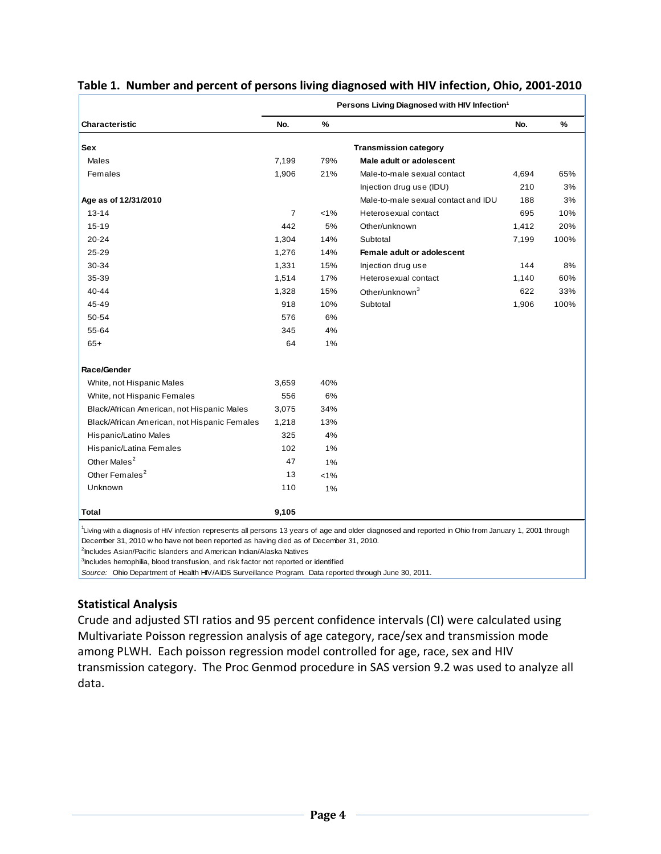|                                                                                                                                                                                                                                                | Persons Living Diagnosed with HIV Infection <sup>1</sup> |       |                                     |       |      |  |  |
|------------------------------------------------------------------------------------------------------------------------------------------------------------------------------------------------------------------------------------------------|----------------------------------------------------------|-------|-------------------------------------|-------|------|--|--|
| <b>Characteristic</b>                                                                                                                                                                                                                          | No.                                                      | $\%$  |                                     | No.   | %    |  |  |
| Sex                                                                                                                                                                                                                                            |                                                          |       | <b>Transmission category</b>        |       |      |  |  |
| <b>Males</b>                                                                                                                                                                                                                                   | 7,199                                                    | 79%   | Male adult or adolescent            |       |      |  |  |
| Females                                                                                                                                                                                                                                        | 1,906                                                    | 21%   | Male-to-male sexual contact         | 4,694 | 65%  |  |  |
|                                                                                                                                                                                                                                                |                                                          |       | Injection drug use (IDU)            | 210   | 3%   |  |  |
| Age as of 12/31/2010                                                                                                                                                                                                                           |                                                          |       | Male-to-male sexual contact and IDU | 188   | 3%   |  |  |
| $13 - 14$                                                                                                                                                                                                                                      | $\overline{7}$                                           | $1\%$ | Heterosexual contact                | 695   | 10%  |  |  |
| 15-19                                                                                                                                                                                                                                          | 442                                                      | 5%    | Other/unknown                       | 1,412 | 20%  |  |  |
| 20-24                                                                                                                                                                                                                                          | 1,304                                                    | 14%   | Subtotal                            | 7,199 | 100% |  |  |
| 25-29                                                                                                                                                                                                                                          | 1,276                                                    | 14%   | Female adult or adolescent          |       |      |  |  |
| 30-34                                                                                                                                                                                                                                          | 1,331                                                    | 15%   | Injection drug use                  | 144   | 8%   |  |  |
| 35-39                                                                                                                                                                                                                                          | 1,514                                                    | 17%   | Heteros exual contact               | 1,140 | 60%  |  |  |
| 40-44                                                                                                                                                                                                                                          | 1,328                                                    | 15%   | Other/unknown <sup>3</sup>          | 622   | 33%  |  |  |
| 45-49                                                                                                                                                                                                                                          | 918                                                      | 10%   | Subtotal                            | 1.906 | 100% |  |  |
| 50-54                                                                                                                                                                                                                                          | 576                                                      | 6%    |                                     |       |      |  |  |
| 55-64                                                                                                                                                                                                                                          | 345                                                      | 4%    |                                     |       |      |  |  |
| $65+$                                                                                                                                                                                                                                          | 64                                                       | 1%    |                                     |       |      |  |  |
| Race/Gender                                                                                                                                                                                                                                    |                                                          |       |                                     |       |      |  |  |
| White, not Hispanic Males                                                                                                                                                                                                                      | 3,659                                                    | 40%   |                                     |       |      |  |  |
| White, not Hispanic Females                                                                                                                                                                                                                    | 556                                                      | 6%    |                                     |       |      |  |  |
| Black/African American, not Hispanic Males                                                                                                                                                                                                     | 3,075                                                    | 34%   |                                     |       |      |  |  |
| Black/African American, not Hispanic Females                                                                                                                                                                                                   | 1,218                                                    | 13%   |                                     |       |      |  |  |
| Hispanic/Latino Males                                                                                                                                                                                                                          | 325                                                      | 4%    |                                     |       |      |  |  |
| Hispanic/Latina Females                                                                                                                                                                                                                        | 102                                                      | 1%    |                                     |       |      |  |  |
| Other Males <sup>2</sup>                                                                                                                                                                                                                       | 47                                                       | 1%    |                                     |       |      |  |  |
| Other Females <sup>2</sup>                                                                                                                                                                                                                     | 13                                                       | 1%    |                                     |       |      |  |  |
| Unknown                                                                                                                                                                                                                                        | 110                                                      | 1%    |                                     |       |      |  |  |
| Total                                                                                                                                                                                                                                          | 9.105                                                    |       |                                     |       |      |  |  |
| Living with a diagnosis of HIV infection represents all persons 13 years of age and older diagnosed and reported in Ohio from January 1, 2001 through<br>December 31, 2010 w ho have not been reported as having died as of December 31, 2010. |                                                          |       |                                     |       |      |  |  |
| <sup>2</sup> Includes Asian/Pacific Islanders and American Indian/Alaska Natives                                                                                                                                                               |                                                          |       |                                     |       |      |  |  |
| <sup>3</sup> Includes hemophilia, blood transfusion, and risk factor not reported or identified                                                                                                                                                |                                                          |       |                                     |       |      |  |  |
| Source: Ohio Department of Health HIV/AIDS Surveillance Program. Data reported through June 30, 2011.                                                                                                                                          |                                                          |       |                                     |       |      |  |  |

## **Table 1. Number and percent of persons living diagnosed with HIV infection, Ohio, 2001-2010**

**Statistical Analysis**

Crude and adjusted STI ratios and 95 percent confidence intervals (CI) were calculated using Multivariate Poisson regression analysis of age category, race/sex and transmission mode among PLWH. Each poisson regression model controlled for age, race, sex and HIV transmission category. The Proc Genmod procedure in SAS version 9.2 was used to analyze all data.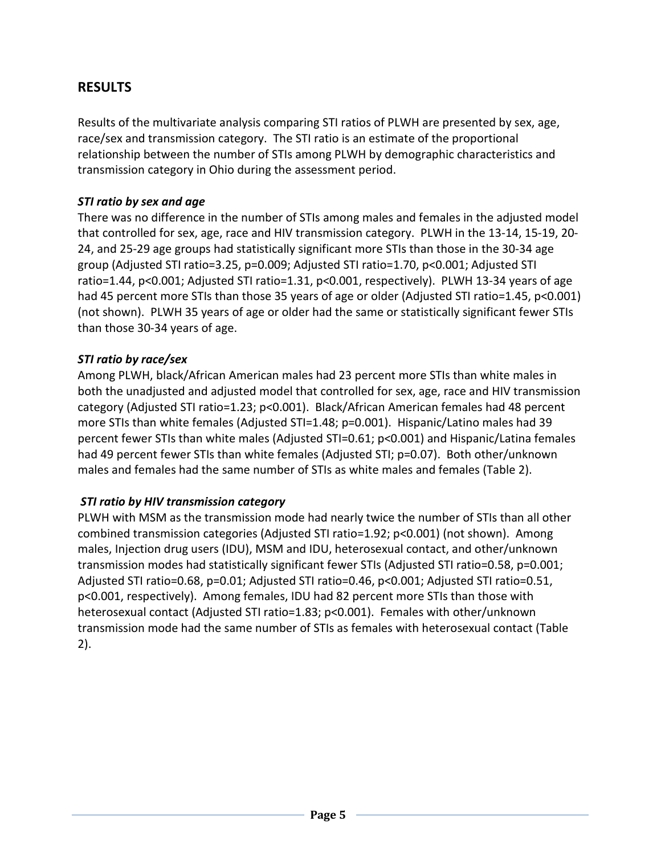# **RESULTS**

Results of the multivariate analysis comparing STI ratios of PLWH are presented by sex, age, race/sex and transmission category. The STI ratio is an estimate of the proportional relationship between the number of STIs among PLWH by demographic characteristics and transmission category in Ohio during the assessment period.

## *STI ratio by sex and age*

There was no difference in the number of STIs among males and females in the adjusted model that controlled for sex, age, race and HIV transmission category. PLWH in the 13-14, 15-19, 20- 24, and 25-29 age groups had statistically significant more STIs than those in the 30-34 age group (Adjusted STI ratio=3.25, p=0.009; Adjusted STI ratio=1.70, p<0.001; Adjusted STI ratio=1.44, p<0.001; Adjusted STI ratio=1.31, p<0.001, respectively). PLWH 13-34 years of age had 45 percent more STIs than those 35 years of age or older (Adjusted STI ratio=1.45, p<0.001) (not shown). PLWH 35 years of age or older had the same or statistically significant fewer STIs than those 30-34 years of age.

## *STI ratio by race/sex*

Among PLWH, black/African American males had 23 percent more STIs than white males in both the unadjusted and adjusted model that controlled for sex, age, race and HIV transmission category (Adjusted STI ratio=1.23; p<0.001). Black/African American females had 48 percent more STIs than white females (Adjusted STI=1.48; p=0.001). Hispanic/Latino males had 39 percent fewer STIs than white males (Adjusted STI=0.61; p<0.001) and Hispanic/Latina females had 49 percent fewer STIs than white females (Adjusted STI; p=0.07). Both other/unknown males and females had the same number of STIs as white males and females (Table 2).

## *STI ratio by HIV transmission category*

PLWH with MSM as the transmission mode had nearly twice the number of STIs than all other combined transmission categories (Adjusted STI ratio=1.92; p<0.001) (not shown). Among males, Injection drug users (IDU), MSM and IDU, heterosexual contact, and other/unknown transmission modes had statistically significant fewer STIs (Adjusted STI ratio=0.58, p=0.001; Adjusted STI ratio=0.68, p=0.01; Adjusted STI ratio=0.46, p<0.001; Adjusted STI ratio=0.51, p<0.001, respectively). Among females, IDU had 82 percent more STIs than those with heterosexual contact (Adjusted STI ratio=1.83; p<0.001). Females with other/unknown transmission mode had the same number of STIs as females with heterosexual contact (Table 2).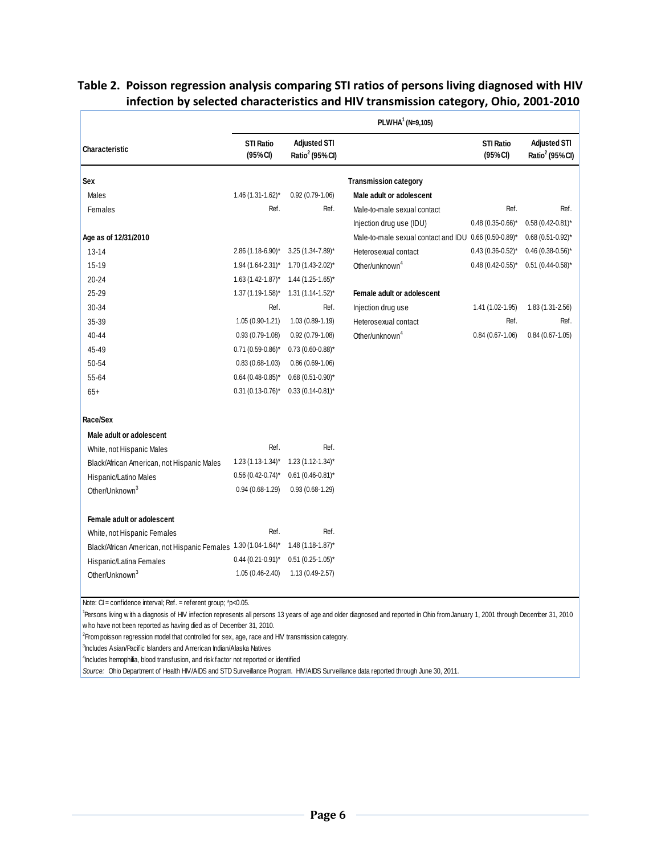| Characteristic                                                 | PLWHA <sup>1</sup> (N=9,105) |                                                    |                                                       |                                         |                                           |  |  |  |
|----------------------------------------------------------------|------------------------------|----------------------------------------------------|-------------------------------------------------------|-----------------------------------------|-------------------------------------------|--|--|--|
|                                                                | <b>STI Ratio</b><br>(95%CI)  | <b>Adjusted STI</b><br>Ratio <sup>2</sup> (95% CI) |                                                       | <b>STI Ratio</b><br>(95% <sup>c</sup> ) | <b>Adjusted STI</b><br>Ratio $2$ (95% CI) |  |  |  |
| Sex                                                            |                              |                                                    | <b>Transmission category</b>                          |                                         |                                           |  |  |  |
| Males                                                          | $1.46(1.31 - 1.62)^{*}$      | $0.92(0.79 - 1.06)$                                | Male adult or adolescent                              |                                         |                                           |  |  |  |
| Females                                                        | Ref.                         | Ref.                                               | Male-to-male sexual contact                           | Ref.                                    | Ref.                                      |  |  |  |
|                                                                |                              |                                                    | Injection drug use (IDU)                              | $0.48(0.35-0.66)$ *                     | $0.58(0.42 - 0.81)^{*}$                   |  |  |  |
| Age as of 12/31/2010                                           |                              |                                                    | Male-to-male sexual contact and IDU 0.66 (0.50-0.89)* |                                         | $0.68(0.51-0.92)^{*}$                     |  |  |  |
| $13 - 14$                                                      | 2.86 (1.18-6.90)*            | $3.25(1.34 - 7.89)^*$                              | Heterosexual contact                                  | $0.43(0.36-0.52)^{*}$                   | $0.46(0.38-0.56)$ *                       |  |  |  |
| 15-19                                                          | 1.94 (1.64-2.31)*            | $1.70(1.43 - 2.02)^{*}$                            | Other/unknown <sup>4</sup>                            | $0.48(0.42 - 0.55)^*$                   | $0.51$ (0.44-0.58)*                       |  |  |  |
| $20 - 24$                                                      | $1.63$ (1.42-1.87)*          | $1.44$ (1.25-1.65)*                                |                                                       |                                         |                                           |  |  |  |
| 25-29                                                          | $1.37(1.19-1.58)^{*}$        | $1.31(1.14 - 1.52)^{*}$                            | Female adult or adolescent                            |                                         |                                           |  |  |  |
| 30-34                                                          | Ref.                         | Ref.                                               | Injection drug use                                    | 1.41 (1.02-1.95)                        | $1.83(1.31 - 2.56)$                       |  |  |  |
| 35-39                                                          | $1.05(0.90-1.21)$            | $1.03(0.89 - 1.19)$                                | Heterosexual contact                                  | Ref.                                    | Ref.                                      |  |  |  |
| 40-44                                                          | $0.93(0.79-1.08)$            | $0.92(0.79-1.08)$                                  | Other/unknown <sup>4</sup>                            | $0.84(0.67-1.06)$                       | $0.84(0.67-1.05)$                         |  |  |  |
| 45-49                                                          | $0.71(0.59-0.86)^{*}$        | $0.73(0.60-0.88)^{*}$                              |                                                       |                                         |                                           |  |  |  |
| 50-54                                                          | $0.83(0.68-1.03)$            | $0.86(0.69-1.06)$                                  |                                                       |                                         |                                           |  |  |  |
| 55-64                                                          | $0.64$ (0.48-0.85)*          | $0.68(0.51-0.90)$ *                                |                                                       |                                         |                                           |  |  |  |
| $65+$                                                          | $0.31(0.13 - 0.76)^*$        | $0.33(0.14-0.81)^{*}$                              |                                                       |                                         |                                           |  |  |  |
| Race/Sex                                                       |                              |                                                    |                                                       |                                         |                                           |  |  |  |
| Male adult or adolescent                                       |                              |                                                    |                                                       |                                         |                                           |  |  |  |
| White, not Hispanic Males                                      | Ref.                         | Ref.                                               |                                                       |                                         |                                           |  |  |  |
| Black/African American, not Hispanic Males                     | $1.23(1.13 - 1.34)^{*}$      | $1.23(1.12 - 1.34)^{*}$                            |                                                       |                                         |                                           |  |  |  |
| Hispanic/Latino Males                                          | $0.56(0.42 - 0.74)^*$        | $0.61$ (0.46-0.81)*                                |                                                       |                                         |                                           |  |  |  |
| Other/Unknown <sup>3</sup>                                     | $0.94(0.68-1.29)$            | $0.93(0.68-1.29)$                                  |                                                       |                                         |                                           |  |  |  |
| Female adult or adolescent                                     |                              |                                                    |                                                       |                                         |                                           |  |  |  |
| White, not Hispanic Females                                    | Ref.                         | Ref.                                               |                                                       |                                         |                                           |  |  |  |
| Black/African American, not Hispanic Females 1.30 (1.04-1.64)* |                              | $1.48(1.18-1.87)^{*}$                              |                                                       |                                         |                                           |  |  |  |
| Hispanic/Latina Females                                        | $0.44(0.21 - 0.91)^{*}$      | $0.51$ (0.25-1.05)*                                |                                                       |                                         |                                           |  |  |  |
| Other/Unknown <sup>3</sup>                                     | $1.05(0.46-2.40)$            | $1.13(0.49-2.57)$                                  |                                                       |                                         |                                           |  |  |  |

## **Table 2. Poisson regression analysis comparing STI ratios of persons living diagnosed with HIV infection by selected characteristics and HIV transmission category, Ohio, 2001-2010**

Persons living w ith a diagnosis of HIV infection represents all persons 13 years of age and older diagnosed and reported in Ohio from January 1, 2001 through December 31, 2010 w ho have not been reported as having died as of December 31, 2010.

 ${}^{2}$ From poisson regression model that controlled for sex, age, race and HIV transmission category.

3 Includes Asian/Pacific Islanders and American Indian/Alaska Natives

<sup>4</sup> Includes hemophilia, blood transfusion, and risk factor not reported or identified

*Source:* Ohio Department of Health HIV/AIDS and STD Surveillance Program. HIV/AIDS Surveillance data reported through June 30, 2011.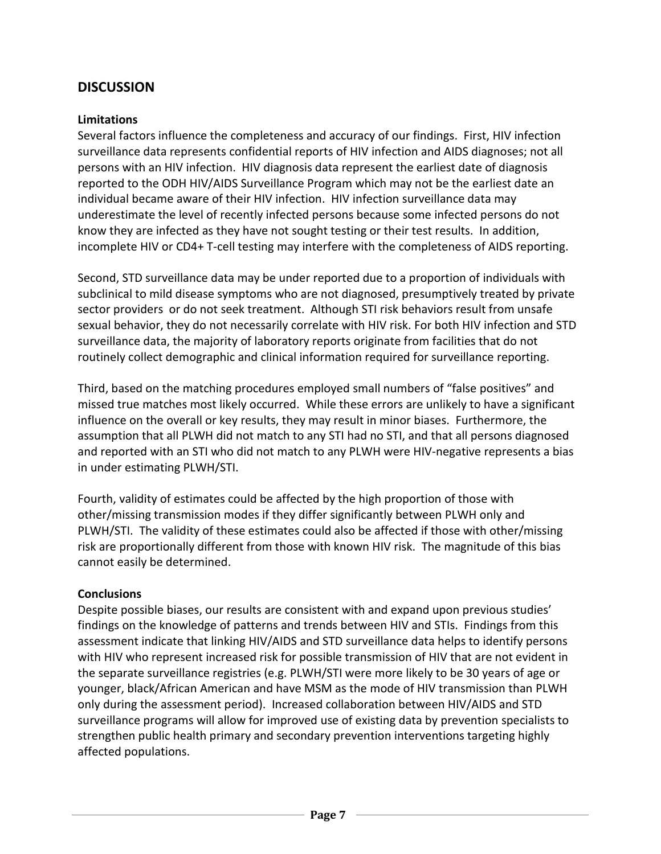## **DISCUSSION**

#### **Limitations**

Several factors influence the completeness and accuracy of our findings. First, HIV infection surveillance data represents confidential reports of HIV infection and AIDS diagnoses; not all persons with an HIV infection. HIV diagnosis data represent the earliest date of diagnosis reported to the ODH HIV/AIDS Surveillance Program which may not be the earliest date an individual became aware of their HIV infection. HIV infection surveillance data may underestimate the level of recently infected persons because some infected persons do not know they are infected as they have not sought testing or their test results. In addition, incomplete HIV or CD4+ T-cell testing may interfere with the completeness of AIDS reporting.

Second, STD surveillance data may be under reported due to a proportion of individuals with subclinical to mild disease symptoms who are not diagnosed, presumptively treated by private sector providers or do not seek treatment. Although STI risk behaviors result from unsafe sexual behavior, they do not necessarily correlate with HIV risk. For both HIV infection and STD surveillance data, the majority of laboratory reports originate from facilities that do not routinely collect demographic and clinical information required for surveillance reporting.

Third, based on the matching procedures employed small numbers of "false positives" and missed true matches most likely occurred. While these errors are unlikely to have a significant influence on the overall or key results, they may result in minor biases. Furthermore, the assumption that all PLWH did not match to any STI had no STI, and that all persons diagnosed and reported with an STI who did not match to any PLWH were HIV-negative represents a bias in under estimating PLWH/STI.

Fourth, validity of estimates could be affected by the high proportion of those with other/missing transmission modes if they differ significantly between PLWH only and PLWH/STI. The validity of these estimates could also be affected if those with other/missing risk are proportionally different from those with known HIV risk. The magnitude of this bias cannot easily be determined.

#### **Conclusions**

Despite possible biases, our results are consistent with and expand upon previous studies' findings on the knowledge of patterns and trends between HIV and STIs. Findings from this assessment indicate that linking HIV/AIDS and STD surveillance data helps to identify persons with HIV who represent increased risk for possible transmission of HIV that are not evident in the separate surveillance registries (e.g. PLWH/STI were more likely to be 30 years of age or younger, black/African American and have MSM as the mode of HIV transmission than PLWH only during the assessment period). Increased collaboration between HIV/AIDS and STD surveillance programs will allow for improved use of existing data by prevention specialists to strengthen public health primary and secondary prevention interventions targeting highly affected populations.